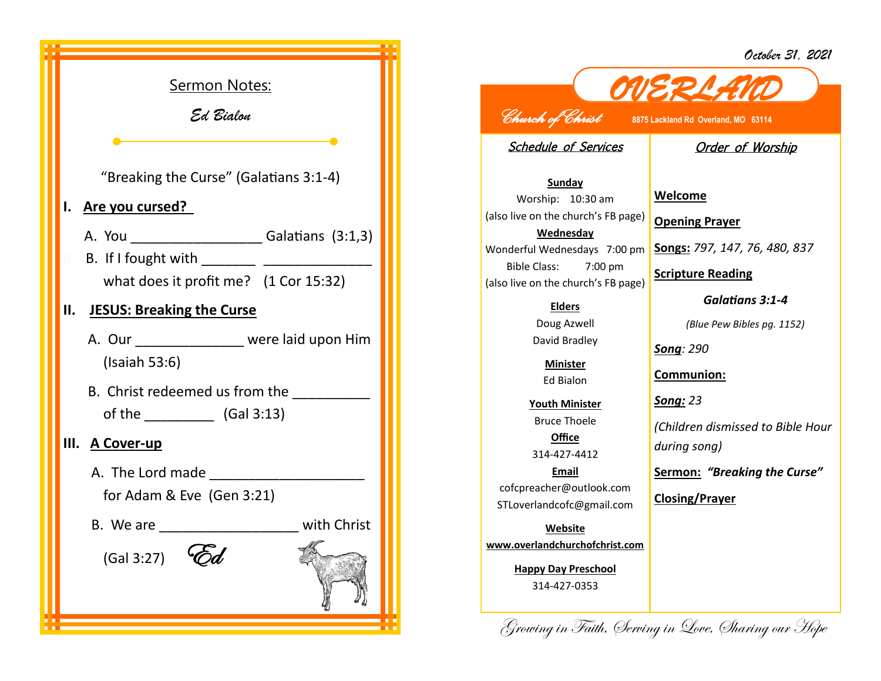*October 31, 2021*



## *OVERLAND Church of Christ* **8875 Lackland Rd Overland, MO 63114**

Schedule of Services

## **Order of Worship**

**Sunday** Worship: 10:30 am (also live on the church's FB page) **Wednesday** Bible Class: 7:00 pm (also live on the church's FB page)

> **Elders** Doug Azwell David Bradley

> > **Minister** Ed Bialon

**Youth Minister** Bruce Thoele **Office** 314-427-4412

**Email** cofcpreacher@outlook.com STLoverlandcofc@gmail.com

**Website www.overlandchurchofchrist.com**

**Happy Day Preschool** 314-427-0353

Wonderful Wednesdays 7:00 pm **Songs:** *797, 147, 76, 480, 837* **Welcome Opening Prayer Scripture Reading** *Galatians 3:1-4*

*(Blue Pew Bibles pg. 1152)*

*Song: 290*

**Communion:**

*Song: 23*

*(Children dismissed to Bible Hour during song)*

**Sermon:** *"Breaking the Curse"*

**Closing/Prayer**

Growing in Faith, Serving in Love, Sharing our Hope